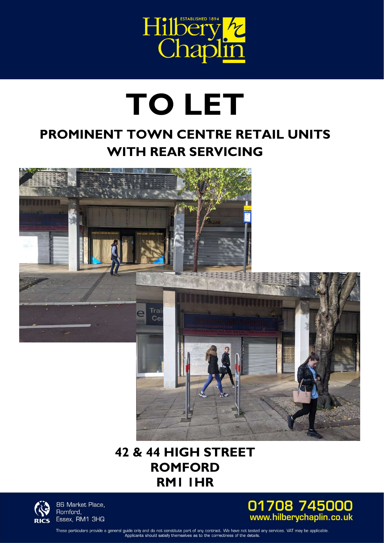

# TO LET

## PROMINENT TOWN CENTRE RETAIL UNITS WITH REAR SERVICING



## 42 & 44 HIGH STREET RM1 1HRROMFORD



86 Market Place, Romford, Essex, RM1 3HQ



These particulars provide a general guide only and do not constitute part of any contract. We have not tested any services. VAT may be applicable. Applicants should satisfy themselves as to the correctness of the details.